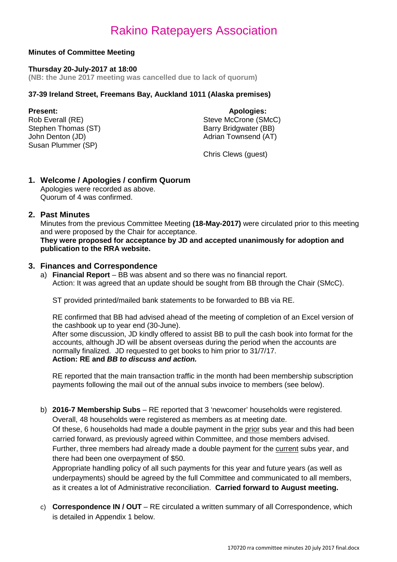### **Minutes of Committee Meeting**

#### **Thursday 20-July-2017 at 18:00**

**(NB: the June 2017 meeting was cancelled due to lack of quorum)**

### **37-39 Ireland Street, Freemans Bay, Auckland 1011 (Alaska premises)**

Stephen Thomas (ST)<br>John Denton (JD) Susan Plummer (SP)

**Present: Apologies: Apologies: Apologies: Apologies: Apologies: Apologies: Apologies: Apologies: Apologies: Apologies: Apologies: Apologies: Apologies: Apologies: Apologies: Apologies: Ap** Steve McCrone (SMcC)<br>Barry Bridgwater (BB) Adrian Townsend (AT)

Chris Clews (guest)

### **1. Welcome / Apologies / confirm Quorum**

Apologies were recorded as above. Quorum of 4 was confirmed.

### **2. Past Minutes**

Minutes from the previous Committee Meeting **(18-May-2017)** were circulated prior to this meeting and were proposed by the Chair for acceptance.

**They were proposed for acceptance by JD and accepted unanimously for adoption and publication to the RRA website.**

### **3. Finances and Correspondence**

a) **Financial Report** – BB was absent and so there was no financial report. Action: It was agreed that an update should be sought from BB through the Chair (SMcC).

ST provided printed/mailed bank statements to be forwarded to BB via RE.

RE confirmed that BB had advised ahead of the meeting of completion of an Excel version of the cashbook up to year end (30-June).

After some discussion, JD kindly offered to assist BB to pull the cash book into format for the accounts, although JD will be absent overseas during the period when the accounts are normally finalized. JD requested to get books to him prior to 31/7/17. **Action: RE and** *BB to discuss and action.*

RE reported that the main transaction traffic in the month had been membership subscription payments following the mail out of the annual subs invoice to members (see below).

b) **2016-7 Membership Subs** – RE reported that 3 'newcomer' households were registered. Overall, 48 households were registered as members as at meeting date.

Of these, 6 households had made a double payment in the prior subs year and this had been carried forward, as previously agreed within Committee, and those members advised.

Further, three members had already made a double payment for the current subs year, and there had been one overpayment of \$50.

Appropriate handling policy of all such payments for this year and future years (as well as underpayments) should be agreed by the full Committee and communicated to all members, as it creates a lot of Administrative reconciliation. **Carried forward to August meeting.**

c) **Correspondence IN / OUT** – RE circulated a written summary of all Correspondence, which is detailed in Appendix 1 below.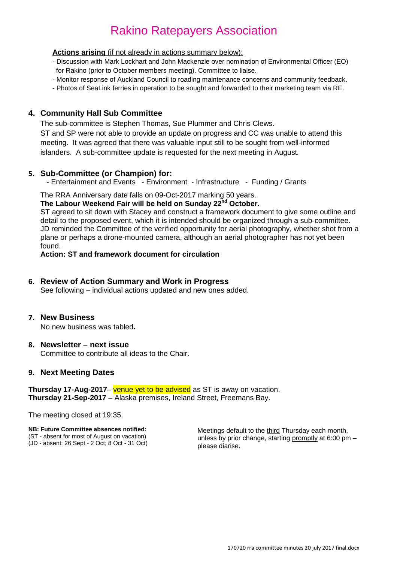#### **Actions arising** (if not already in actions summary below):

- Discussion with Mark Lockhart and John Mackenzie over nomination of Environmental Officer (EO) for Rakino (prior to October members meeting). Committee to liaise.
- Monitor response of Auckland Council to roading maintenance concerns and community feedback.
- Photos of SeaLink ferries in operation to be sought and forwarded to their marketing team via RE.

### **4. Community Hall Sub Committee**

The sub-committee is Stephen Thomas, Sue Plummer and Chris Clews. ST and SP were not able to provide an update on progress and CC was unable to attend this meeting. It was agreed that there was valuable input still to be sought from well-informed islanders. A sub-committee update is requested for the next meeting in August*.*

### **5. Sub-Committee (or Champion) for:**

- Entertainment and Events - Environment - Infrastructure - Funding / Grants

The RRA Anniversary date falls on 09-Oct-2017 marking 50 years.

#### **The Labour Weekend Fair will be held on Sunday 22nd October.**

ST agreed to sit down with Stacey and construct a framework document to give some outline and detail to the proposed event, which it is intended should be organized through a sub-committee. JD reminded the Committee of the verified opportunity for aerial photography, whether shot from a plane or perhaps a drone-mounted camera, although an aerial photographer has not yet been found.

**Action: ST and framework document for circulation**

### **6. Review of Action Summary and Work in Progress**

See following – individual actions updated and new ones added.

#### **7. New Business**

No new business was tabled**.**

#### **8. Newsletter – next issue** Committee to contribute all ideas to the Chair.

#### **9. Next Meeting Dates**

**Thursday 17-Aug-2017**– venue yet to be advised as ST is away on vacation. **Thursday 21-Sep-2017** – Alaska premises, Ireland Street, Freemans Bay.

The meeting closed at 19:35.

#### **NB: Future Committee absences notified:** (ST - absent for most of August on vacation)

(JD - absent: 26 Sept - 2 Oct; 8 Oct - 31 Oct)

Meetings default to the third Thursday each month, unless by prior change, starting promptly at 6:00 pm – please diarise.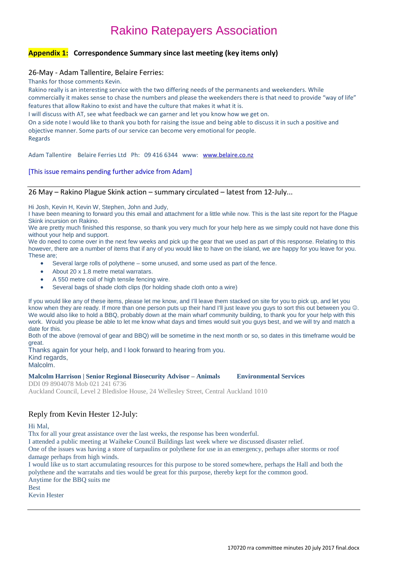### **Appendix 1: Correspondence Summary since last meeting (key items only)**

#### 26-May - Adam Tallentire, Belaire Ferries:

Thanks for those comments Kevin.

Rakino really is an interesting service with the two differing needs of the permanents and weekenders. While commercially it makes sense to chase the numbers and please the weekenders there is that need to provide "way of life" features that allow Rakino to exist and have the culture that makes it what it is.

I will discuss with AT, see what feedback we can garner and let you know how we get on.

On a side note I would like to thank you both for raising the issue and being able to discuss it in such a positive and objective manner. Some parts of our service can become very emotional for people. Regards

Adam Tallentire Belaire Ferries Ltd Ph: 09 416 6344 www: [www.belaire.co.nz](http://www.belaire.co.nz/)

#### [This issue remains pending further advice from Adam]

#### 26 May – Rakino Plague Skink action – summary circulated – latest from 12-July...

Hi Josh, Kevin H, Kevin W, Stephen, John and Judy,

I have been meaning to forward you this email and attachment for a little while now. This is the last site report for the Plague Skink incursion on Rakino.

We are pretty much finished this response, so thank you very much for your help here as we simply could not have done this without your help and support.

We do need to come over in the next few weeks and pick up the gear that we used as part of this response. Relating to this however, there are a number of items that if any of you would like to have on the island, we are happy for you leave for you. These are;

- Several large rolls of polythene some unused, and some used as part of the fence.
- About 20 x 1.8 metre metal warratars.
- A 550 metre coil of high tensile fencing wire.
- Several bags of shade cloth clips (for holding shade cloth onto a wire)

If you would like any of these items, please let me know, and I'll leave them stacked on site for you to pick up, and let you know when they are ready. If more than one person puts up their hand I'll just leave you guys to sort this out between you ... We would also like to hold a BBQ, probably down at the main wharf community building, to thank you for your help with this work. Would you please be able to let me know what days and times would suit you guys best, and we will try and match a date for this.

Both of the above (removal of gear and BBQ) will be sometime in the next month or so, so dates in this timeframe would be great.

Thanks again for your help, and I look forward to hearing from you. Kind regards,

#### Malcolm.

**Malcolm Harrison | Senior Regional Biosecurity Advisor – Animals Environmental Services**

DDI 09 8904078 Mob 021 241 6736 Auckland Council, Level 2 Bledisloe House, 24 Wellesley Street, Central Auckland 1010

#### Reply from Kevin Hester 12-July:

#### Hi Mal,

Thx for all your great assistance over the last weeks, the response has been wonderful.

I attended a public meeting at Waiheke Council Buildings last week where we discussed disaster relief.

One of the issues was having a store of tarpaulins or polythene for use in an emergency, perhaps after storms or roof damage perhaps from high winds.

I would like us to start accumulating resources for this purpose to be stored somewhere, perhaps the Hall and both the polythene and the warratahs and ties would be great for this purpose, thereby kept for the common good. Anytime for the BBQ suits me Best

Kevin Hester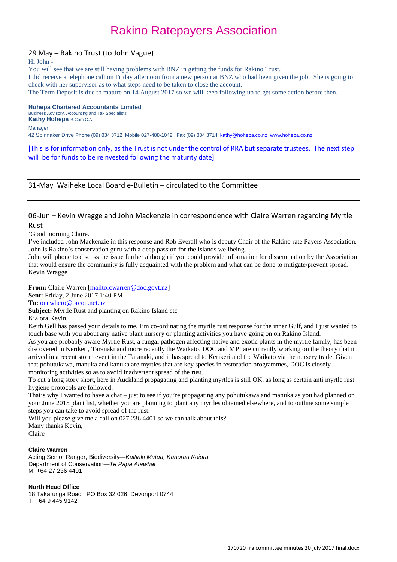#### 29 May – Rakino Trust (to John Vague)

#### Hi John -

You will see that we are still having problems with BNZ in getting the funds for Rakino Trust.

I did receive a telephone call on Friday afternoon from a new person at BNZ who had been given the job. She is going to check with her supervisor as to what steps need to be taken to close the account.

The Term Deposit is due to mature on 14 August 2017 so we will keep following up to get some action before then.

#### **Hohepa Chartered Accountants Limited**

Business Advisory, Accounting and Tax Specialists **Kathy Hohepa** B.Com C.A.

Manager

42 Spinnaker Drive Phone (09) 834 3712 Mobile 027-488-1042 Fax (09) 834 3714 [kathy@hohepa.co.nz](mailto:kathy@hohepa.co.nz) [www.hohepa.co.nz](blocked::http://www.hohepa.co.nz/)

[This is for information only, as the Trust is not under the control of RRA but separate trustees. The next step will be for funds to be reinvested following the maturity date]

31-May Waiheke Local Board e-Bulletin – circulated to the Committee

#### 06-Jun – Kevin Wragge and John Mackenzie in correspondence with Claire Warren regarding Myrtle Rust

'Good morning Claire.

I've included John Mackenzie in this response and Rob Everall who is deputy Chair of the Rakino rate Payers Association. John is Rakino's conservation guru with a deep passion for the Islands wellbeing.

John will phone to discuss the issue further although if you could provide information for dissemination by the Association that would ensure the community is fully acquainted with the problem and what can be done to mitigate/prevent spread. Kevin Wragge

From: Claire Warren [\[mailto:cwarren@doc.govt.nz\]](mailto:cwarren@doc.govt.nz) **Sent:** Friday, 2 June 2017 1:40 PM **To:** [onewhero@orcon.net.nz](mailto:onewhero@orcon.net.nz)

**Subject:** Myrtle Rust and planting on Rakino Island etc

Kia ora Kevin,

Keith Gell has passed your details to me. I'm co-ordinating the myrtle rust response for the inner Gulf, and I just wanted to touch base with you about any native plant nursery or planting activities you have going on on Rakino Island.

As you are probably aware Myrtle Rust, a fungal pathogen affecting native and exotic plants in the myrtle family, has been discovered in Kerikeri, Taranaki and more recently the Waikato. DOC and MPI are currently working on the theory that it arrived in a recent storm event in the Taranaki, and it has spread to Kerikeri and the Waikato via the nursery trade. Given that pohutukawa, manuka and kanuka are myrtles that are key species in restoration programmes, DOC is closely monitoring activities so as to avoid inadvertent spread of the rust.

To cut a long story short, here in Auckland propagating and planting myrtles is still OK, as long as certain anti myrtle rust hygiene protocols are followed.

That's why I wanted to have a chat – just to see if you're propagating any pohutukawa and manuka as you had planned on your June 2015 plant list, whether you are planning to plant any myrtles obtained elsewhere, and to outline some simple steps you can take to avoid spread of the rust.

Will you please give me a call on 027 236 4401 so we can talk about this? Many thanks Kevin,

Claire

#### **Claire Warren**

Acting Senior Ranger, Biodiversity—*Kaitiaki Matua, Kanorau Koiora* Department of Conservation—*Te Papa Atawhai* M: +64 27 236 4401

#### **North Head Office**

18 Takarunga Road | PO Box 32 026, Devonport 0744 T: +64 9 445 9142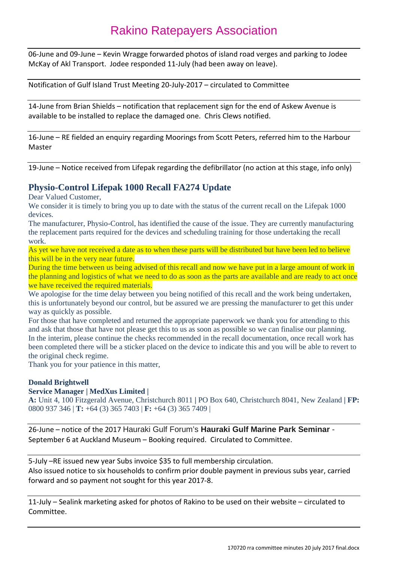06-June and 09-June – Kevin Wragge forwarded photos of island road verges and parking to Jodee McKay of Akl Transport. Jodee responded 11-July (had been away on leave).

Notification of Gulf Island Trust Meeting 20-July-2017 – circulated to Committee

14-June from Brian Shields – notification that replacement sign for the end of Askew Avenue is available to be installed to replace the damaged one. Chris Clews notified.

16-June – RE fielded an enquiry regarding Moorings from Scott Peters, referred him to the Harbour Master

19-June – Notice received from Lifepak regarding the defibrillator (no action at this stage, info only)

### **Physio-Control Lifepak 1000 Recall FA274 Update**

Dear Valued Customer,

We consider it is timely to bring you up to date with the status of the current recall on the Lifepak 1000 devices.

The manufacturer, Physio-Control, has identified the cause of the issue. They are currently manufacturing the replacement parts required for the devices and scheduling training for those undertaking the recall work.

As yet we have not received a date as to when these parts will be distributed but have been led to believe this will be in the very near future.

During the time between us being advised of this recall and now we have put in a large amount of work in the planning and logistics of what we need to do as soon as the parts are available and are ready to act once we have received the required materials.

We apologise for the time delay between you being notified of this recall and the work being undertaken, this is unfortunately beyond our control, but be assured we are pressing the manufacturer to get this under way as quickly as possible.

For those that have completed and returned the appropriate paperwork we thank you for attending to this and ask that those that have not please get this to us as soon as possible so we can finalise our planning. In the interim, please continue the checks recommended in the recall documentation, once recall work has been completed there will be a sticker placed on the device to indicate this and you will be able to revert to the original check regime.

Thank you for your patience in this matter,

#### **Donald Brightwell**

#### **Service Manager | MedXus Limited |**

**A:** Unit 4, 100 Fitzgerald Avenue, Christchurch 8011 **|** PO Box 640, Christchurch 8041, New Zealand **| FP:**  0800 937 346 | **T:** +64 (3) 365 7403 | **F:** +64 (3) 365 7409 |

26-June – notice of the 2017 Hauraki Gulf Forum's **Hauraki Gulf Marine Park Seminar** - September 6 at Auckland Museum – Booking required. Circulated to Committee.

5-July –RE issued new year Subs invoice \$35 to full membership circulation. Also issued notice to six households to confirm prior double payment in previous subs year, carried forward and so payment not sought for this year 2017-8.

11-July – Sealink marketing asked for photos of Rakino to be used on their website – circulated to Committee.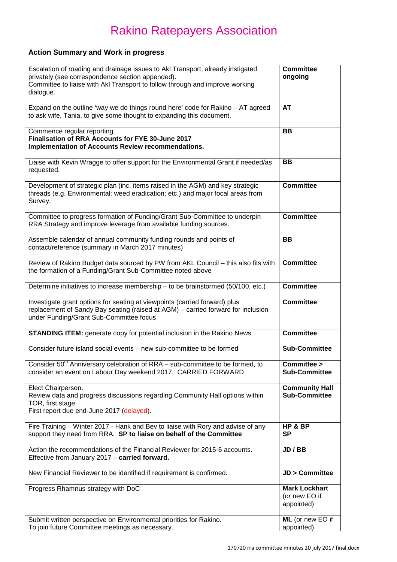## **Action Summary and Work in progress**

| Escalation of roading and drainage issues to AkI Transport, already instigated<br>privately (see correspondence section appended).<br>Committee to liaise with AkI Transport to follow through and improve working<br>dialogue. | <b>Committee</b><br>ongoing                         |
|---------------------------------------------------------------------------------------------------------------------------------------------------------------------------------------------------------------------------------|-----------------------------------------------------|
| Expand on the outline 'way we do things round here' code for Rakino - AT agreed<br>to ask wife, Tania, to give some thought to expanding this document.                                                                         | <b>AT</b>                                           |
| Commence regular reporting.<br>Finalisation of RRA Accounts for FYE 30-June 2017<br>Implementation of Accounts Review recommendations.                                                                                          | <b>BB</b>                                           |
| Liaise with Kevin Wragge to offer support for the Environmental Grant if needed/as<br>requested.                                                                                                                                | BB                                                  |
| Development of strategic plan (inc. items raised in the AGM) and key strategic<br>threads (e.g. Environmental; weed eradication; etc.) and major focal areas from<br>Survey.                                                    | <b>Committee</b>                                    |
| Committee to progress formation of Funding/Grant Sub-Committee to underpin<br>RRA Strategy and improve leverage from available funding sources.                                                                                 | <b>Committee</b>                                    |
| Assemble calendar of annual community funding rounds and points of<br>contact/reference (summary in March 2017 minutes)                                                                                                         | BB                                                  |
| Review of Rakino Budget data sourced by PW from AKL Council - this also fits with<br>the formation of a Funding/Grant Sub-Committee noted above                                                                                 | <b>Committee</b>                                    |
| Determine initiatives to increase membership - to be brainstormed (50/100, etc.)                                                                                                                                                | <b>Committee</b>                                    |
| Investigate grant options for seating at viewpoints (carried forward) plus<br>replacement of Sandy Bay seating (raised at AGM) - carried forward for inclusion<br>under Funding/Grant Sub-Committee focus                       | <b>Committee</b>                                    |
| <b>STANDING ITEM:</b> generate copy for potential inclusion in the Rakino News.                                                                                                                                                 | <b>Committee</b>                                    |
| Consider future island social events - new sub-committee to be formed                                                                                                                                                           | <b>Sub-Committee</b>                                |
| Consider 50 <sup>th</sup> Anniversary celebration of RRA - sub-committee to be formed, to<br>consider an event on Labour Day weekend 2017. CARRIED FORWARD                                                                      | Committee ><br><b>Sub-Committee</b>                 |
| Elect Chairperson.<br>Review data and progress discussions regarding Community Hall options within<br>TOR, first stage.<br>First report due end-June 2017 (delayed).                                                            | <b>Community Hall</b><br><b>Sub-Committee</b>       |
| Fire Training – Winter 2017 - Hank and Bev to liaise with Rory and advise of any<br>support they need from RRA. SP to liaise on behalf of the Committee                                                                         | HP & BP<br><b>SP</b>                                |
| Action the recommendations of the Financial Reviewer for 2015-6 accounts.<br>Effective from January 2017 - carried forward.                                                                                                     | JD / BB                                             |
| New Financial Reviewer to be identified if requirement is confirmed.                                                                                                                                                            | <b>JD &gt; Committee</b>                            |
| Progress Rhamnus strategy with DoC                                                                                                                                                                                              | <b>Mark Lockhart</b><br>(or new EO if<br>appointed) |
| Submit written perspective on Environmental priorities for Rakino.<br>To join future Committee meetings as necessary.                                                                                                           | ML (or new EO if<br>appointed)                      |